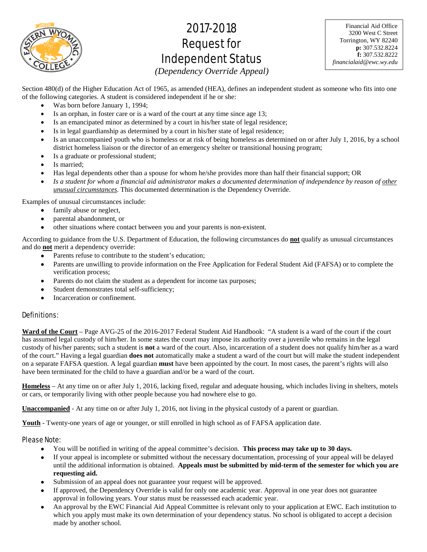

# 2017-2018 Request for Independent Status

Financial Aid Office 3200 West C Street Torrington, WY 82240 **p:** 307.532.8224 **f:** 307.532.8222 *financialaid@ewc.wy.edu*

*(Dependency Override Appeal)* 

Section 480(d) of the Higher Education Act of 1965, as amended (HEA), defines an independent student as someone who fits into one of the following categories. A student is considered independent if he or she:

- Was born before January 1, 1994;
- Is an orphan, in foster care or is a ward of the court at any time since age 13;
- Is an emancipated minor as determined by a court in his/her state of legal residence;
- Is in legal guardianship as determined by a court in his/her state of legal residence;
- Is an unaccompanied youth who is homeless or at risk of being homeless as determined on or after July 1, 2016, by a school district homeless liaison or the director of an emergency shelter or transitional housing program;
- Is a graduate or professional student;
- Is married;
- Has legal dependents other than a spouse for whom he/she provides more than half their financial support; OR
- *Is a student for whom a financial aid administrator makes a documented determination of independence by reason of other unusual circumstances.* This documented determination is the Dependency Override.

Examples of unusual circumstances include:

- family abuse or neglect,
- parental abandonment, or
- other situations where contact between you and your parents is non-existent.

According to guidance from the U.S. Department of Education, the following circumstances do **not** qualify as unusual circumstances and do **not** merit a dependency override:

- Parents refuse to contribute to the student's education;
- Parents are unwilling to provide information on the Free Application for Federal Student Aid (FAFSA) or to complete the verification process;
- Parents do not claim the student as a dependent for income tax purposes;
- Student demonstrates total self-sufficiency;
- Incarceration or confinement.

## Definitions:

**Ward of the Court** – Page AVG-25 of the 2016-2017 Federal Student Aid Handbook: "A student is a ward of the court if the court has assumed legal custody of him/her. In some states the court may impose its authority over a juvenile who remains in the legal custody of his/her parents; such a student is **not** a ward of the court. Also, incarceration of a student does not qualify him/her as a ward of the court." Having a legal guardian **does not** automatically make a student a ward of the court but will make the student independent on a separate FAFSA question. A legal guardian **must** have been appointed by the court. In most cases, the parent's rights will also have been terminated for the child to have a guardian and/or be a ward of the court.

**Homeless** – At any time on or after July 1, 2016, lacking fixed, regular and adequate housing, which includes living in shelters, motels or cars, or temporarily living with other people because you had nowhere else to go.

**Unaccompanied** - At any time on or after July 1, 2016, not living in the physical custody of a parent or guardian.

**Youth** - Twenty-one years of age or younger, or still enrolled in high school as of FAFSA application date.

## Please Note:

- You will be notified in writing of the appeal committee's decision. **This process may take up to 30 days.**
- If your appeal is incomplete or submitted without the necessary documentation, processing of your appeal will be delayed until the additional information is obtained. **Appeals must be submitted by mid-term of the semester for which you are requesting aid.**
- Submission of an appeal does not guarantee your request will be approved.
- If approved, the Dependency Override is valid for only one academic year. Approval in one year does not guarantee approval in following years. Your status must be reassessed each academic year.
- An approval by the EWC Financial Aid Appeal Committee is relevant only to your application at EWC. Each institution to which you apply must make its own determination of your dependency status. No school is obligated to accept a decision made by another school.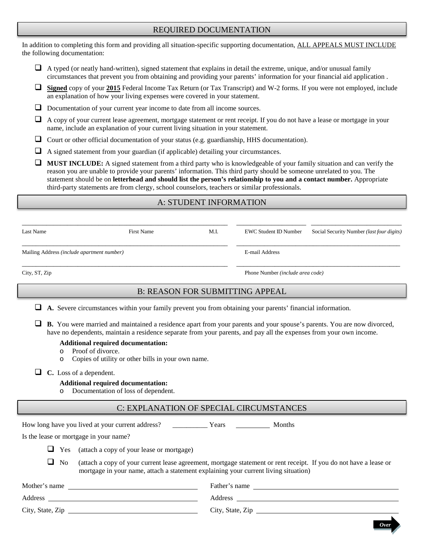## REQUIRED DOCUMENTATION

In addition to completing this form and providing all situation-specific supporting documentation, ALL APPEALS MUST INCLUDE the following documentation:

- $\Box$  A typed (or neatly hand-written), signed statement that explains in detail the extreme, unique, and/or unusual family circumstances that prevent you from obtaining and providing your parents' information for your financial aid application .
- **Signed** copy of your **2015** Federal Income Tax Return (or Tax Transcript) and W-2 forms. If you were not employed, include an explanation of how your living expenses were covered in your statement.
- Documentation of your current year income to date from all income sources.
- $\Box$  A copy of your current lease agreement, mortgage statement or rent receipt. If you do not have a lease or mortgage in your name, include an explanation of your current living situation in your statement.
- $\Box$  Court or other official documentation of your status (e.g. guardianship, HHS documentation).
- $\Box$  A signed statement from your guardian (if applicable) detailing your circumstances.
- **MUST INCLUDE:** A signed statement from a third party who is knowledgeable of your family situation and can verify the reason you are unable to provide your parents' information. This third party should be someone unrelated to you. The statement should be on **letterhead and should list the person's relationship to you and a contact number.** Appropriate third-party statements are from clergy, school counselors, teachers or similar professionals.

# A: STUDENT INFORMATION

| Last Name                                  | First Name | M.I. | EWC Student ID Number                   | Social Security Number ( <i>last four digits</i> ) |
|--------------------------------------------|------------|------|-----------------------------------------|----------------------------------------------------|
| Mailing Address (include apartment number) |            |      | E-mail Address                          |                                                    |
| City, ST, Zip                              |            |      | Phone Number <i>(include area code)</i> |                                                    |

## B: REASON FOR SUBMITTING APPEAL

- **A.** Severe circumstances within your family prevent you from obtaining your parents' financial information.
- **B.** You were married and maintained a residence apart from your parents and your spouse's parents. You are now divorced, have no dependents, maintain a residence separate from your parents, and pay all the expenses from your own income.

#### **Additional required documentation:**

- o Proof of divorce.<br>  $\circ$  Copies of utility
- Copies of utility or other bills in your own name.

■ **C.** Loss of a dependent.

#### **Additional required documentation:**

o Documentation of loss of dependent.

## C: EXPLANATION OF SPECIAL CIRCUMSTANCES

|                  |                | How long have you lived at your current address?<br><b>Months</b><br>Years                                                                                                                               |  |  |  |  |
|------------------|----------------|----------------------------------------------------------------------------------------------------------------------------------------------------------------------------------------------------------|--|--|--|--|
|                  |                | Is the lease or mortgage in your name?                                                                                                                                                                   |  |  |  |  |
|                  |                | $\Box$ Yes (attach a copy of your lease or mortgage)                                                                                                                                                     |  |  |  |  |
| ⊔                | N <sub>o</sub> | (attach a copy of your current lease agreement, mortgage statement or rent receipt. If you do not have a lease or<br>mortgage in your name, attach a statement explaining your current living situation) |  |  |  |  |
| Mother's name    |                | Father's name                                                                                                                                                                                            |  |  |  |  |
| Address          |                | Address                                                                                                                                                                                                  |  |  |  |  |
| City, State, Zip |                | City, State, Zip                                                                                                                                                                                         |  |  |  |  |

*Over*